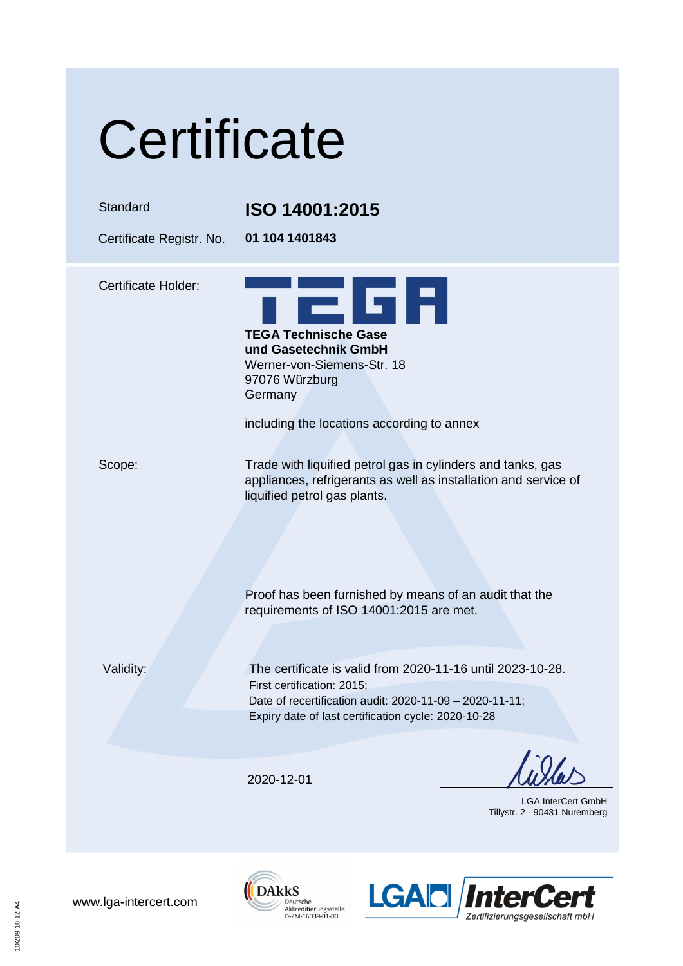## **Certificate**

Standard **ISO 14001:2015**

Certificate Registr. No. **01 104 1401843**

Certificate Holder:

d: **TEGA Technische Gase und Gasetechnik GmbH** Werner-von-Siemens-Str. 18 97076 Würzburg **Germany** 

including the locations according to annex

Scope: Trade with liquified petrol gas in cylinders and tanks, gas appliances, refrigerants as well as installation and service of liquified petrol gas plants.

> Proof has been furnished by means of an audit that the requirements of ISO 14001:2015 are met.

Validity: The certificate is valid from 2020-11-16 until 2023-10-28. First certification: 2015; Date of recertification audit: 2020-11-09 – 2020-11-11; Expiry date of last certification cycle: 2020-10-28

2020-12-01

LGA InterCert GmbH Tillystr. 2 · 90431 Nuremberg